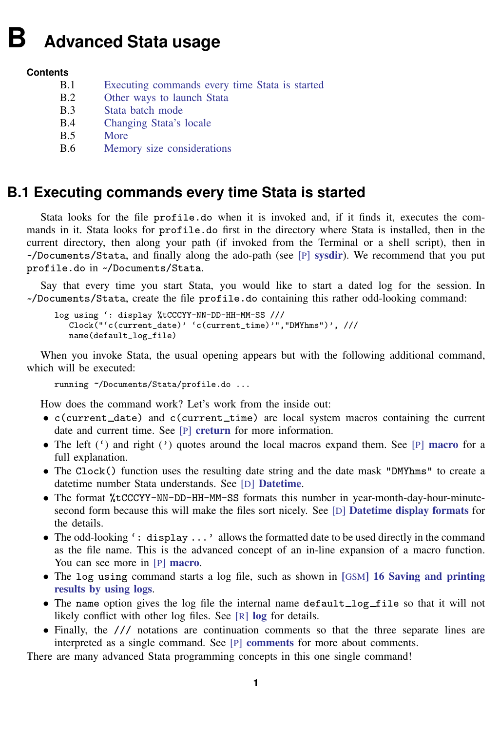# <span id="page-0-1"></span>**B Advanced Stata usage**

#### **Contents**

- B.1 [Executing commands every time Stata is started](#page-0-0)
- B.2 [Other ways to launch Stata](#page-1-0)
- B.3 [Stata batch mode](#page-1-1)
- B.4 [Changing Stata's locale](#page-3-0)<br>B.5 More
- **[More](#page-4-0)**
- B.6 [Memory size considerations](#page-4-1)

# <span id="page-0-0"></span>**B.1 Executing commands every time Stata is started**

Stata looks for the file profile.do when it is invoked and, if it finds it, executes the commands in it. Stata looks for profile.do first in the directory where Stata is installed, then in the current directory, then along your path (if invoked from the Terminal or a shell script), then in ~ /Documents/Stata, and finally along the ado-path (see [P] [sysdir](https://www.stata.com/manuals/psysdir.pdf#psysdir)). We recommend that you put profile.do in ~ /Documents/Stata.

Say that every time you start Stata, you would like to start a dated log for the session. In ~ /Documents/Stata, create the file profile.do containing this rather odd-looking command:

```
log using ': display %tCCCYY-NN-DD-HH-MM-SS ///
Clock("'c(current_date)' 'c(current_time)'","DMYhms")', ///
name(default_log_file)
```
When you invoke Stata, the usual opening appears but with the following additional command, which will be executed:

```
running ~/Documents/Stata/profile.do ...
```
How does the command work? Let's work from the inside out:

- c(current date) and c(current time) are local system macros containing the current date and current time. See [P] [creturn](https://www.stata.com/manuals/pcreturn.pdf#pcreturn) for more information.
- The left  $'$  and right  $'$ ) quotes around the local [macro](https://www.stata.com/manuals/pmacro.pdf#pmacro)s expand them. See [P] macro for a full explanation.
- The Clock() function uses the resulting date string and the date mask "DMYhms" to create a datetime number Stata understands. See [D] [Datetime](https://www.stata.com/manuals/ddatetime.pdf#dDatetime).
- The format %tCCCYY-NN-DD-HH-MM-SS formats this number in year-month-day-hour-minutesecond form because this will make the files sort nicely. See [D] [Datetime display formats](https://www.stata.com/manuals/ddatetimedisplayformats.pdf#dDatetimedisplayformats) for the details.
- The odd-looking ': display ...' allows the formatted date to be used directly in the command as the file name. This is the advanced concept of an in-line expansion of a macro function. You can see more in [P] [macro](https://www.stata.com/manuals/pmacro.pdf#pmacro).
- The log using command starts a log file, such as shown in [GSM[\] 16 Saving and printing](https://www.stata.com/manuals/gsm16.pdf#gsm16Savingandprintingresultsbyusinglogs) [results by using logs](https://www.stata.com/manuals/gsm16.pdf#gsm16Savingandprintingresultsbyusinglogs).
- The name option gives the log file the internal name default log file so that it will not likely conflict with other [log](https://www.stata.com/manuals/rlog.pdf#rlog) files. See [R] log for details.
- Finally, the /// notations are continuation comments so that the three separate lines are interpreted as a single command. See [P] [comments](https://www.stata.com/manuals/pcomments.pdf#pcomments) for more about comments.

There are many advanced Stata programming concepts in this one single command!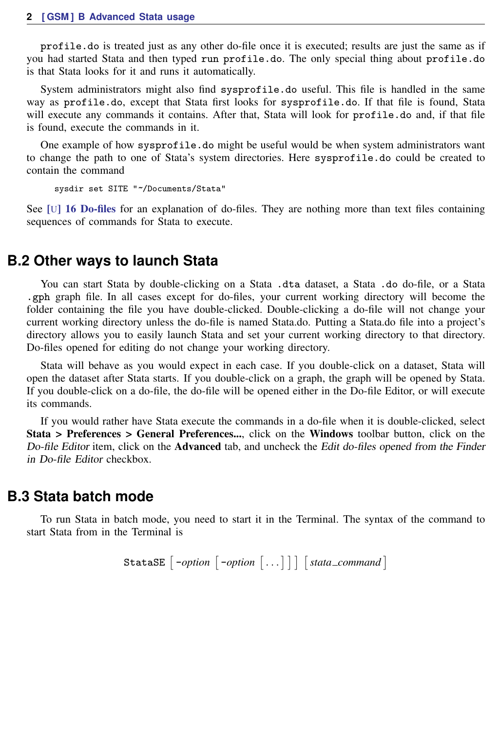profile.do is treated just as any other do-file once it is executed; results are just the same as if you had started Stata and then typed run profile.do. The only special thing about profile.do is that Stata looks for it and runs it automatically.

System administrators might also find sysprofile.do useful. This file is handled in the same way as profile.do, except that Stata first looks for sysprofile.do. If that file is found, Stata will execute any commands it contains. After that, Stata will look for profile.do and, if that file is found, execute the commands in it.

One example of how sysprofile.do might be useful would be when system administrators want to change the path to one of Stata's system directories. Here sysprofile.do could be created to contain the command

```
sysdir set SITE "~/Documents/Stata"
```
<span id="page-1-0"></span>See [U[\] 16 Do-files](https://www.stata.com/manuals/u16.pdf#u16Do-files) for an explanation of do-files. They are nothing more than text files containing sequences of commands for Stata to execute.

## **B.2 Other ways to launch Stata**

You can start Stata by double-clicking on a Stata .dta dataset, a Stata .do do-file, or a Stata .gph graph file. In all cases except for do-files, your current working directory will become the folder containing the file you have double-clicked. Double-clicking a do-file will not change your current working directory unless the do-file is named Stata.do. Putting a Stata.do file into a project's directory allows you to easily launch Stata and set your current working directory to that directory. Do-files opened for editing do not change your working directory.

Stata will behave as you would expect in each case. If you double-click on a dataset, Stata will open the dataset after Stata starts. If you double-click on a graph, the graph will be opened by Stata. If you double-click on a do-file, the do-file will be opened either in the Do-file Editor, or will execute its commands.

If you would rather have Stata execute the commands in a do-file when it is double-clicked, select Stata > Preferences > General Preferences..., click on the Windows toolbar button, click on the Do-file Editor item, click on the Advanced tab, and uncheck the Edit do-files opened from the Finder in Do-file Editor checkbox.

### <span id="page-1-1"></span>**B.3 Stata batch mode**

To run Stata in batch mode, you need to start it in the Terminal. The syntax of the command to start Stata from in the Terminal is

```
\text{States } \left[ \text{-option } \left[ \text{-option } \left[ \ldots \right] \right] \right] \left[ \text{stat\_command} \right]
```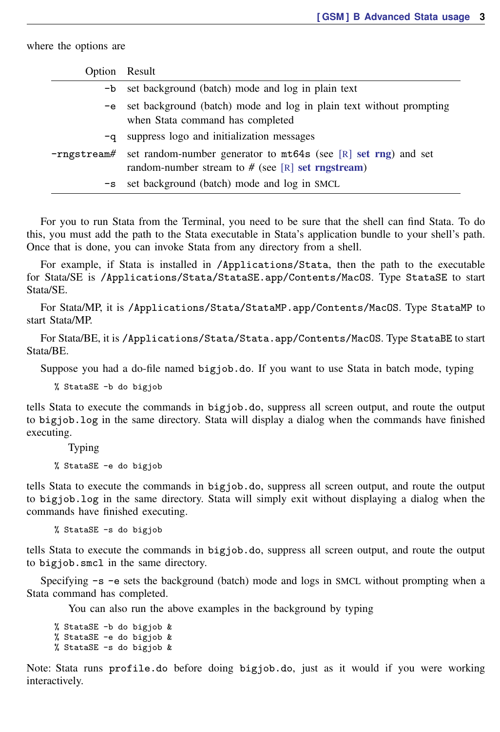where the options are

| Option Result |                                                                                                                                       |
|---------------|---------------------------------------------------------------------------------------------------------------------------------------|
| -b            | set background (batch) mode and log in plain text                                                                                     |
| $-e$          | set background (batch) mode and log in plain text without prompting<br>when Stata command has completed                               |
| -q            | suppress logo and initialization messages                                                                                             |
|               | $-rngstream \#$ set random-number generator to mt64s (see [R] set rng) and set<br>random-number stream to $#$ (see [R] set rngstream) |
| $-\mathbf{s}$ | set background (batch) mode and log in SMCL                                                                                           |

For you to run Stata from the Terminal, you need to be sure that the shell can find Stata. To do this, you must add the path to the Stata executable in Stata's application bundle to your shell's path. Once that is done, you can invoke Stata from any directory from a shell.

For example, if Stata is installed in /Applications/Stata, then the path to the executable for Stata/SE is /Applications/Stata/StataSE.app/Contents/MacOS. Type StataSE to start Stata/SE.

For Stata/MP, it is /Applications/Stata/StataMP.app/Contents/MacOS. Type StataMP to start Stata/MP.

For Stata/BE, it is /Applications/Stata/Stata.app/Contents/MacOS. Type StataBE to start Stata/BE.

Suppose you had a do-file named bigjob.do. If you want to use Stata in batch mode, typing

% StataSE -b do bigjob

tells Stata to execute the commands in bigjob.do, suppress all screen output, and route the output to bigjob.log in the same directory. Stata will display a dialog when the commands have finished executing.

Typing

% StataSE -e do bigjob

tells Stata to execute the commands in bigjob.do, suppress all screen output, and route the output to bigjob.log in the same directory. Stata will simply exit without displaying a dialog when the commands have finished executing.

% StataSE -s do bigjob

tells Stata to execute the commands in bigjob.do, suppress all screen output, and route the output to bigjob.smcl in the same directory.

Specifying -s -e sets the background (batch) mode and logs in SMCL without prompting when a Stata command has completed.

You can also run the above examples in the background by typing

% StataSE -b do bigjob & % StataSE -e do bigjob & % StataSE -s do bigjob &

Note: Stata runs profile.do before doing bigjob.do, just as it would if you were working interactively.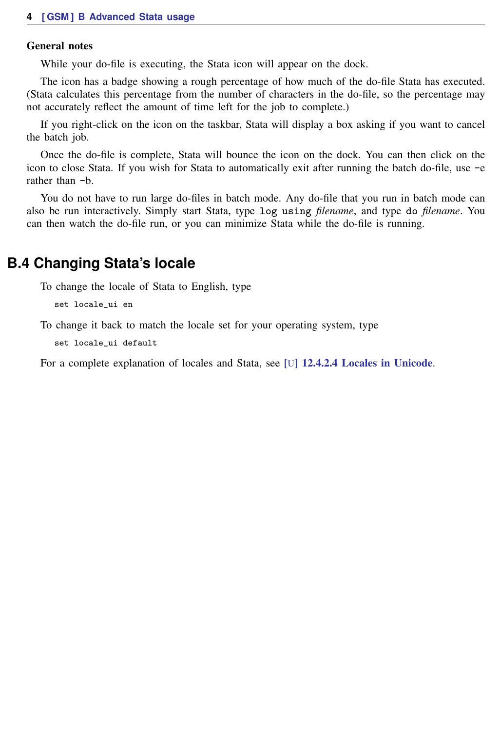#### General notes

While your do-file is executing, the Stata icon will appear on the dock.

The icon has a badge showing a rough percentage of how much of the do-file Stata has executed. (Stata calculates this percentage from the number of characters in the do-file, so the percentage may not accurately reflect the amount of time left for the job to complete.)

If you right-click on the icon on the taskbar, Stata will display a box asking if you want to cancel the batch job.

Once the do-file is complete, Stata will bounce the icon on the dock. You can then click on the icon to close Stata. If you wish for Stata to automatically exit after running the batch do-file, use -e rather than -b.

You do not have to run large do-files in batch mode. Any do-file that you run in batch mode can also be run interactively. Simply start Stata, type log using *filename*, and type do *filename*. You can then watch the do-file run, or you can minimize Stata while the do-file is running.

# <span id="page-3-0"></span>**B.4 Changing Stata's locale**

To change the locale of Stata to English, type

set locale\_ui en

To change it back to match the locale set for your operating system, type

set locale\_ui default

For a complete explanation of locales and Stata, see [U[\] 12.4.2.4 Locales in Unicode](https://www.stata.com/manuals/u12.pdf#u12.4.2.4LocalesinUnicode).